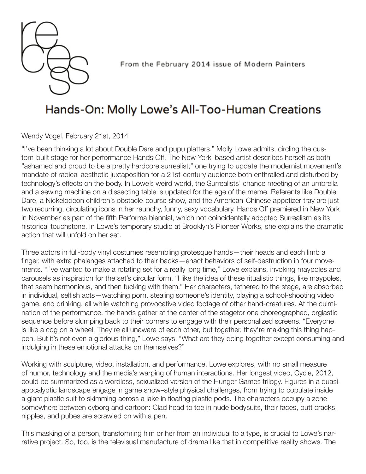

From the February 2014 issue of Modern Painters

## Hands-On: Molly Lowe's All-Too-Human Creations

Wendy Vogel, February 21st, 2014

"I've been thinking a lot about Double Dare and pupu platters," Molly Lowe admits, circling the custom-built stage for her performance Hands Off. The New York–based artist describes herself as both "ashamed and proud to be a pretty hardcore surrealist," one trying to update the modernist movement's mandate of radical aesthetic juxtaposition for a 21st-century audience both enthralled and disturbed by technology's effects on the body. In Lowe's weird world, the Surrealists' chance meeting of an umbrella and a sewing machine on a dissecting table is updated for the age of the meme. Referents like Double Dare, a Nickelodeon children's obstacle-course show, and the American-Chinese appetizer tray are just two recurring, circulating icons in her raunchy, funny, sexy vocabulary. Hands Off premiered in New York in November as part of the fifth Performa biennial, which not coincidentally adopted Surrealism as its historical touchstone. In Lowe's temporary studio at Brooklyn's Pioneer Works, she explains the dramatic action that will unfold on her set.

Three actors in full-body vinyl costumes resembling grotesque hands—their heads and each limb a finger, with extra phalanges attached to their backs—enact behaviors of self-destruction in four movements. "I've wanted to make a rotating set for a really long time," Lowe explains, invoking maypoles and carousels as inspiration for the set's circular form. "I like the idea of these ritualistic things, like maypoles, that seem harmonious, and then fucking with them." Her characters, tethered to the stage, are absorbed in individual, selfish acts—watching porn, stealing someone's identity, playing a school-shooting video game, and drinking, all while watching provocative video footage of other hand-creatures. At the culmination of the performance, the hands gather at the center of the stagefor one choreographed, orgiastic sequence before slumping back to their corners to engage with their personalized screens. "Everyone is like a cog on a wheel. They're all unaware of each other, but together, they're making this thing happen. But it's not even a glorious thing," Lowe says. "What are they doing together except consuming and indulging in these emotional attacks on themselves?"

Working with sculpture, video, installation, and performance, Lowe explores, with no small measure of humor, technology and the media's warping of human interactions. Her longest video, Cycle, 2012, could be summarized as a wordless, sexualized version of the Hunger Games trilogy. Figures in a quasiapocalyptic landscape engage in game show–style physical challenges, from trying to copulate inside a giant plastic suit to skimming across a lake in floating plastic pods. The characters occupy a zone somewhere between cyborg and cartoon: Clad head to toe in nude bodysuits, their faces, butt cracks, nipples, and pubes are scrawled on with a pen.

This masking of a person, transforming him or her from an individual to a type, is crucial to Lowe's narrative project. So, too, is the televisual manufacture of drama like that in competitive reality shows. The